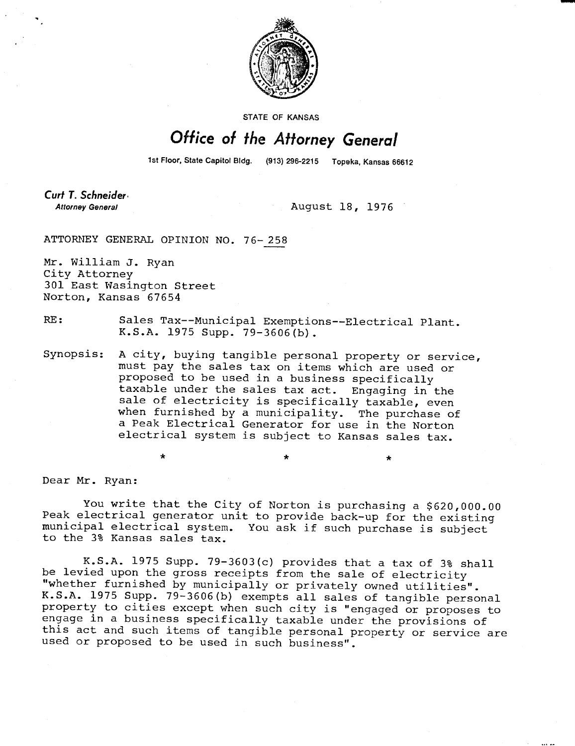

STATE OF KANSAS

## Office of the Attorney General

1st Floor, State Capitol Bldg. (913) 296-2215 Topeka, Kansas 66612

Curt T. Schneider **Attorney General** 

August 18, 1976

ATTORNEY GENERAL OPINION NO. 76-258

Mr. William J. Ryan City Attorney 301 East Wasington Street Norton, Kansas 67654

RE: Sales Tax--Municipal Exemptions--Electrical Plant. K.S.A. 1975 Supp. 79-3606(b).

Synopsis: A city, buying tangible personal property or service, must pay the sales tax on items which are used or proposed to be used in a business specifically taxable under the sales tax act. Engaging in the sale of electricity is specifically taxable, even when furnished by a municipality. The purchase of a Peak Electrical Generator for use in the Norton electrical system is subject to Kansas sales tax.

Dear Mr. Ryan:

You write that the City of Norton is purchasing a \$620,000.00 Peak electrical generator unit to provide back-up for the existing municipal electrical system. You ask if such purchase is subject to the 3% Kansas sales tax.

K.S.A. 1975 Supp. 79-3603(c) provides that a tax of 3% shall be levied upon the gross receipts from the sale of electricity "whether furnished by municipally or privately owned utilities". K.S.A. 1975 Supp. 79-3606(b) exempts all sales of tangible personal property to cities except when such city is "engaged or proposes to engage in a business specifically taxable under the provisions of this act and such items of tangible personal property or service are used or proposed to be used in such business".